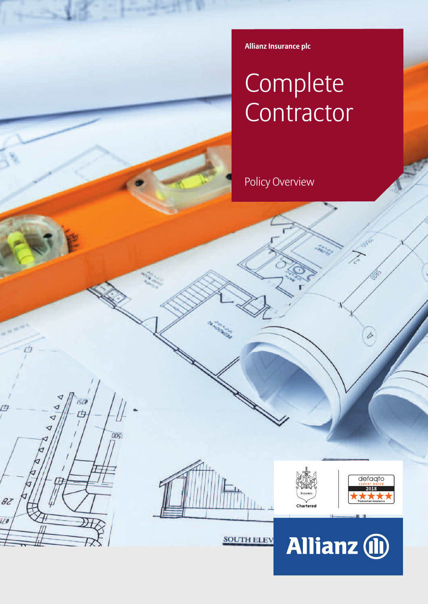**Allianz Insurance plc**

# Complete **Contractor**

Policy Overview



**SOUTH ELEV** 

**ISZI** rt.

82

120

 $00<sub>S</sub>$ 





D

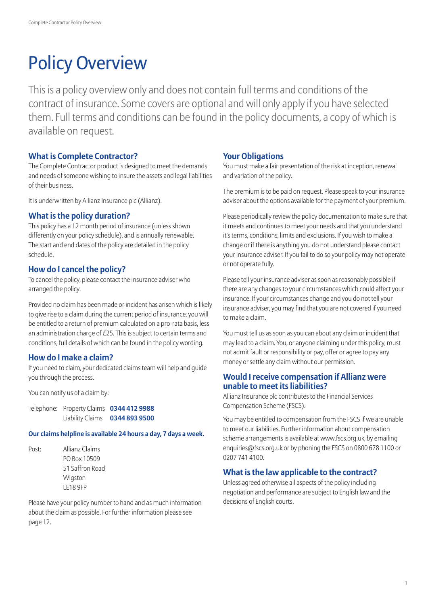# Policy Overview

This is a policy overview only and does not contain full terms and conditions of the contract of insurance. Some covers are optional and will only apply if you have selected them. Full terms and conditions can be found in the policy documents, a copy of which is available on request.

# **What is Complete Contractor?**

The Complete Contractor product is designed to meet the demands and needs of someone wishing to insure the assets and legal liabilities of their business.

It is underwritten by Allianz Insurance plc (Allianz).

# **What is the policy duration?**

This policy has a 12 month period of insurance (unless shown differently on your policy schedule), and is annually renewable. The start and end dates of the policy are detailed in the policy schedule.

# **How do I cancel the policy?**

To cancel the policy, please contact the insurance adviser who arranged the policy.

Provided no claim has been made or incident has arisen which is likely to give rise to a claim during the current period of insurance, you will be entitled to a return of premium calculated on a pro-rata basis, less an administration charge of  $E25$ . This is subject to certain terms and conditions, full details of which can be found in the policy wording.

# **How do I make a claim?**

If you need to claim, your dedicated claims team will help and quide you through the process.

You can notify us of a claim by:

Telephone:Property Claims **0344 412 9988** Liability Claims **0344 893 9500**

## **Our claims helpline is available 24 hours a day, 7 days a week.**

Post: Allianz Claims PO Box 10509 51 Saffron Road Wigston LE18 9FP

Please have your policy number to hand and as much information about the claim as possible. For further information please see page 12.

# **Your Obligations**

You must make a fair presentation of the risk at inception, renewal and variation of the policy.

The premium isto be paid on request. Please speak to your insurance adviser about the options available for the payment of your premium.

Please periodically review the policy documentation to make sure that it meets and continues to meet your needs and that you understand it's terms, conditions, limits and exclusions. If you wish to make a change or if there is anything you do not understand please contact your insurance adviser. If you fail to do so your policy may not operate or not operate fully.

Please tell your insurance adviser as soon as reasonably possible if there are any changes to your circumstances which could affect your insurance. If your circumstances change and you do not tell your insurance adviser, you may find that you are not covered if you need to make a claim.

You must tell us as soon as you can about any claim or incident that may lead to a claim. You, or anyone claiming under this policy, must not admit fault or responsibility or pay, offer or agree to pay any money or settle any claim without our permission.

# **Would Ireceive compensation if Allianz were unable to meet its liabilities?**

Allianz Insurance plc contributes to the Financial Services Compensation Scheme (FSCS).

You may be entitled to compensation from the FSCS if we are unable to meet our liabilities. Further information about compensation scheme arrangements is available at www.fscs.org.uk, by emailing enquiries@fscs.org.uk or by phoning the FSCS on 0800 678 1100 or 0207 741 4100.

# **What is the law applicable to the contract?**

Unless agreed otherwise all aspects of the policy including negotiation and performance are subject to English law and the decisions of English courts.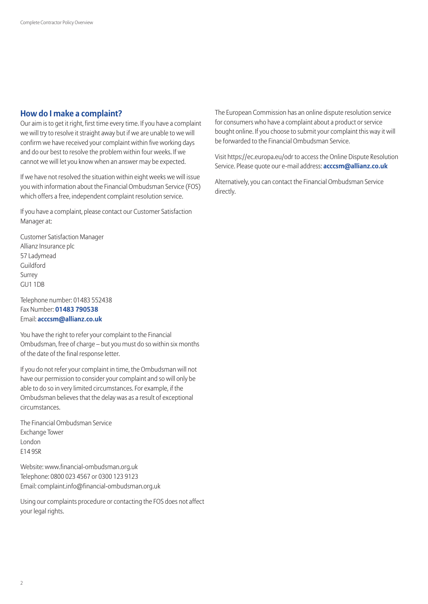# **How do I make a complaint?**

Our aim is to get it right, first time every time. If you have a complaint we will try to resolve it straight away but if we are unable to we will confirm we have received your complaint within five working days and do our best to resolve the problem within four weeks. If we cannot we will let you know when an answer may be expected.

If we have not resolved the situation within eight weeks we will issue you with information about the Financial Ombudsman Service (FOS) which offers a free, independent complaint resolution service.

If you have a complaint, please contact our Customer Satisfaction Manager at:

Customer Satisfaction Manager Allianz Insurance plc 57 Ladymead Guildford Surrey GU1 1DB

Telephone number: 01483 552438 Fax Number: **01483 790538** Email: **acccsm@allianz.co.uk**

You have the right to refer your complaint to the Financial Ombudsman, free of charge – but you must do so within six months of the date of the final response letter.

If you do not refer your complaint in time, the Ombudsman will not have our permission to consider your complaint and so will only be able to do so in very limited circumstances. For example, if the Ombudsman believesthat the delay was as a result of exceptional circumstances.

The Financial Ombudsman Service Exchange Tower London E14 9SR

Website: www.financial-ombudsman.org.uk Telephone: 0800 023 4567 or 0300 123 9123 Email: complaint.info@financial-ombudsman.org.uk

Using our complaints procedure or contacting the FOS does not affect your legal rights.

The European Commission has an online dispute resolution service for consumers who have a complaint about a product or service bought online. If you choose to submit your complaint this way it will be forwarded to the Financial Ombudsman Service.

Visit https://ec.europa.eu/odr to accessthe Online Dispute Resolution Service. Please quote our e-mail address: **acccsm@allianz.co.uk**

Alternatively, you can contact the Financial Ombudsman Service directly.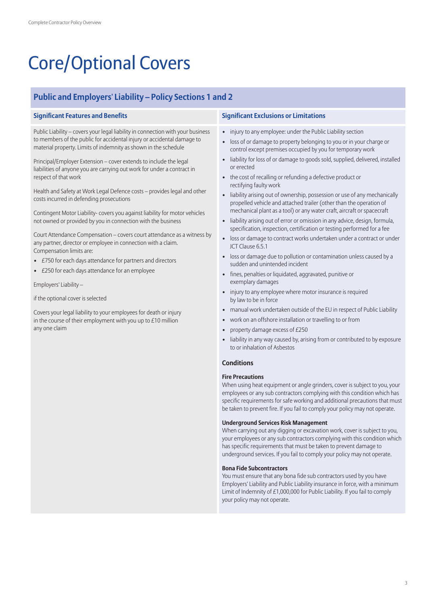# Core/Optional Covers

# **Public and Employers' Liability – Policy Sections 1 and 2**

Public Liability – covers your legal liability in connection with your business to members of the public for accidental injury or accidental damage to material property. Limits of indemnity as shown in the schedule

Principal/Employer Extension – cover extends to include the legal liabilities of anyone you are carrying out work for under a contract in respect of that work

Health and Safety at Work Legal Defence costs – provides legal and other costs incurred in defending prosecutions

Contingent Motor Liability- covers you against liability for motor vehicles not owned or provided by you in connection with the business

Court Attendance Compensation – covers court attendance as a witness by any partner, director or employee in connection with a claim. Compensation limits are:

- £750 for each days attendance for partners and directors
- £250 for each days attendance for an employee

Employers' Liability –

if the optional cover is selected

Covers your legal liability to your employees for death or injury in the course of their employment with you up to  $£10$  million any one claim

### **Significant Features and Benefits Significant Exclusions or Limitations**

- injury to any employee: under the Public Liability section
- loss of or damage to property belonging to you or in your charge or control except premises occupied by you for temporary work
- liability for loss of or damage to goods sold, supplied, delivered, installed or erected
- the cost of recalling or refunding a defective product or rectifying faulty work
- liability arising out of ownership, possession or use of any mechanically propelled vehicle and attached trailer (other than the operation of mechanical plant as a tool) or any water craft, aircraft or spacecraft
- liability arising out of error or omission in any advice, design, formula, specification, inspection, certification or testing performed for a fee
- loss or damage to contract works undertaken under a contract or under JCT Clause 6.5.1
- loss or damage due to pollution or contamination unless caused by a sudden and unintended incident
- fines, penalties or liquidated, aggravated, punitive or exemplary damages
- injury to any employee where motor insurance is required by law to be in force
- manual work undertaken outside of the EU in respect of Public Liability
- work on an offshore installation or travelling to or from
- property damage excess of £250
- liability in any way caused by, arising from or contributed to by exposure to or inhalation of Asbestos

### **Conditions**

### **Fire Precautions**

When using heat equipment or angle grinders, cover is subject to you, your employees or any sub contractors complying with this condition which has specific requirements for safe working and additional precautions that must be taken to prevent fire. If you fail to comply your policy may not operate.

#### **Underground Services Risk Management**

When carrying out any digging or excavation work, cover is subject to you, your employees or any sub contractors complying with this condition which has specific requirements that must be taken to prevent damage to underground services. If you fail to comply your policy may not operate.

#### **Bona Fide Subcontractors**

You must ensure that any bona fide sub contractors used by you have Employers' Liability and Public Liability insurance in force, with a minimum Limit of Indemnity of £1,000,000 for Public Liability. If you fail to comply your policy may not operate.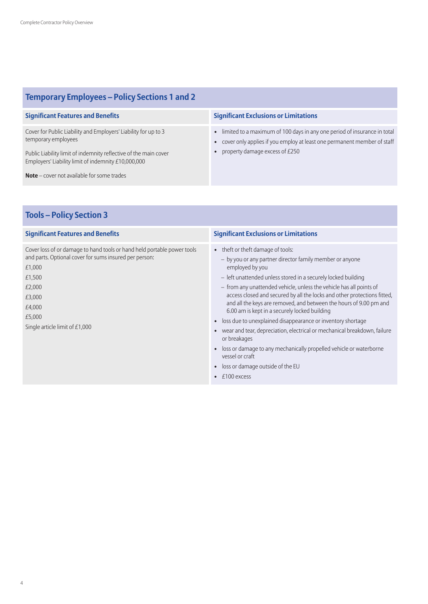# **Temporary Employees – Policy Sections 1 and 2**

Cover for Public Liability and Employers' Liability for up to 3 temporary employees

Public Liability limit of indemnity reflective of the main cover Employers' Liability limit of indemnity £10,000,000

**Note** – cover not available for some trades

### **Significant Features and Benefits Significant Exclusions or Limitations**

- limited to a maximum of 100 days in any one period of insurance in total
- cover only applies if you employ at least one permanent member of staff
- property damage excess of £250

# **Tools – Policy Section 3**

Cover loss of or damage to hand tools or hand held portable power tools and parts. Optional cover for sums insured per person:

£1,000 £1,500 £2,000 £3,000 £4,000 £5,000 Single article limit of £1,000

- theft or theft damage of tools:
	- by you or any partner director family member or anyone employed by you
	- left unattended unless stored in a securely locked building
	- from any unattended vehicle, unless the vehicle has all points of access closed and secured by all the locks and other protections fitted, and all the keys are removed, and between the hours of 9.00 pm and 6.00 am is kept in a securely locked building
- loss due to unexplained disappearance or inventory shortage
- wear and tear, depreciation, electrical or mechanical breakdown, failure or breakages
- loss or damage to any mechanically propelled vehicle or waterborne vessel or craft
- loss or damage outside of the EU
- £100 excess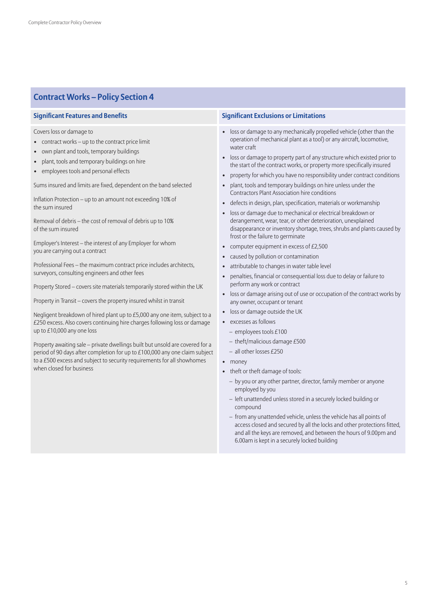# **Contract Works – Policy Section 4**

Covers loss or damage to

- contract works up to the contract price limit
- own plant and tools, temporary buildings
- plant, tools and temporary buildings on hire
- employees tools and personal effects

Sums insured and limits are fixed, dependent on the band selected

Inflation Protection – up to an amount not exceeding 10% of the sum insured

Removal of debris – the cost of removal of debris up to 10% of the sum insured

Employer's Interest – the interest of any Employer for whom you are carrying out a contract

Professional Fees – the maximum contract price includes architects, surveyors, consulting engineers and other fees

Property Stored – covers site materials temporarily stored within the UK

Property in Transit – covers the property insured whilst in transit

Negligent breakdown of hired plant up to £5,000 any one item, subject to a £250 excess. Also covers continuing hire charges following loss or damage up to £10,000 any one loss

Property awaiting sale – private dwellings built but unsold are covered for a period of 90 days after completion for up to £100,000 any one claim subject to a £500 excess and subject to security requirements for all showhomes when closed for business

- loss or damage to any mechanically propelled vehicle (other than the operation of mechanical plant as a tool) or any aircraft, locomotive, water craft
- loss or damage to property part of any structure which existed prior to the start of the contract works, or property more specifically insured
- property for which you have no responsibility under contract conditions
- plant, tools and temporary buildings on hire unless under the Contractors Plant Association hire conditions
- defects in design, plan, specification, materials or workmanship
- loss or damage due to mechanical or electrical breakdown or derangement, wear, tear, or other deterioration, unexplained disappearance or inventory shortage, trees, shrubs and plants caused by frost or the failure to germinate
- computer equipment in excess of £2,500
- caused by pollution or contamination
- attributable to changes in water table level
- penalties, financial or consequential loss due to delay or failure to perform any work or contract
- loss or damage arising out of use or occupation of the contract works by any owner, occupant or tenant
- loss or damage outside the UK
- excesses as follows
	- employees tools £100
	- theft/malicious damage £500
- all other losses £250
- money
- theft or theft damage of tools:
	- by you or any other partner, director, family member or anyone employed by you
	- left unattended unless stored in a securely locked building or compound
	- from any unattended vehicle, unless the vehicle has all points of access closed and secured by all the locks and other protections fitted, and all the keys are removed, and between the hours of 9.00pm and 6.00am is kept in a securely locked building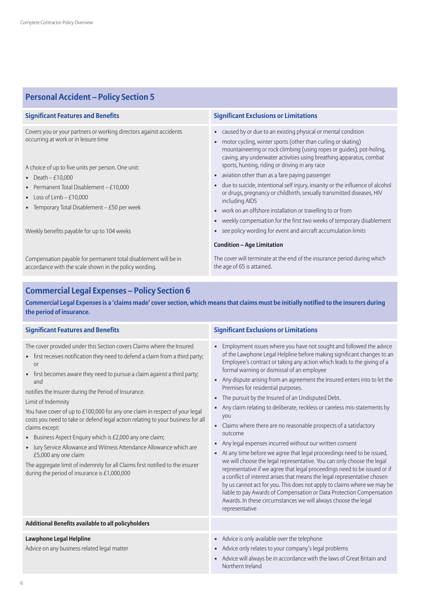# **Personal Accident – Policy Section 5**

| <b>Significant Features and Benefits</b>                                                                                  | <b>Significant Exclusions or Limitations</b>                                                                                                                                                                                                                                  |  |
|---------------------------------------------------------------------------------------------------------------------------|-------------------------------------------------------------------------------------------------------------------------------------------------------------------------------------------------------------------------------------------------------------------------------|--|
| Covers you or your partners or working directors against accidents<br>occurring at work or in leisure time                | • caused by or due to an existing physical or mental condition<br>motor cycling, winter sports (other than curling or skating)<br>mountaineering or rock climbing (using ropes or guides), pot-holing,<br>caving, any underwater activities using breathing apparatus, combat |  |
| A choice of up to five units per person. One unit:                                                                        | sports, hunting, riding or driving in any race                                                                                                                                                                                                                                |  |
| • Death $-E10,000$                                                                                                        | • aviation other than as a fare paying passenger                                                                                                                                                                                                                              |  |
| • Permanent Total Disablement $-E10,000$<br>• Loss of Limb $-$ £10,000<br>• Temporary Total Disablement $-E50$ per week   | • due to suicide, intentional self injury, insanity or the influence of alcohol<br>or drugs, pregnancy or childbirth, sexually transmitted diseases, HIV<br>including AIDS                                                                                                    |  |
|                                                                                                                           | • work on an offshore installation or travelling to or from                                                                                                                                                                                                                   |  |
|                                                                                                                           | • weekly compensation for the first two weeks of temporary disablement                                                                                                                                                                                                        |  |
| Weekly benefits payable for up to 104 weeks                                                                               | • see policy wording for event and aircraft accumulation limits                                                                                                                                                                                                               |  |
|                                                                                                                           | <b>Condition - Age Limitation</b>                                                                                                                                                                                                                                             |  |
| Compensation payable for permanent total disablement will be in<br>accordance with the scale shown in the policy wording. | The cover will terminate at the end of the insurance period during which<br>the age of 65 is attained.                                                                                                                                                                        |  |

# **Commercial Legal Expenses – Policy Section 6**

Commercial Legal Expenses is a 'claims made' cover section, which means that claims must be initially notified to the insurers during **the period of insurance.**

| <b>Significant Features and Benefits</b>                                                                                                                                                                                                                                                                                                                                                                                                                                                                                                                                                                                                                                                                                                                                                                                   | <b>Significant Exclusions or Limitations</b>                                                                                                                                                                                                                                                                                                                                                                                                                                                                                                                                                                                                                                                                                                                                                                                                                                                                                                                                                                                                                                                                                                                                                                                                                               |
|----------------------------------------------------------------------------------------------------------------------------------------------------------------------------------------------------------------------------------------------------------------------------------------------------------------------------------------------------------------------------------------------------------------------------------------------------------------------------------------------------------------------------------------------------------------------------------------------------------------------------------------------------------------------------------------------------------------------------------------------------------------------------------------------------------------------------|----------------------------------------------------------------------------------------------------------------------------------------------------------------------------------------------------------------------------------------------------------------------------------------------------------------------------------------------------------------------------------------------------------------------------------------------------------------------------------------------------------------------------------------------------------------------------------------------------------------------------------------------------------------------------------------------------------------------------------------------------------------------------------------------------------------------------------------------------------------------------------------------------------------------------------------------------------------------------------------------------------------------------------------------------------------------------------------------------------------------------------------------------------------------------------------------------------------------------------------------------------------------------|
| The cover provided under this Section covers Claims where the Insured<br>• first receives notification they need to defend a claim from a third party;<br>or<br>first becomes aware they need to pursue a claim against a third party;<br>$\bullet$<br>and<br>notifies the Insurer during the Period of Insurance.<br>Limit of Indemnity<br>You have cover of up to £100,000 for any one claim in respect of your legal<br>costs you need to take or defend legal action relating to your business for all<br>claims except:<br>• Business Aspect Enquiry which is £2,000 any one claim;<br>• Jury Service Allowance and Witness Attendance Allowance which are<br>£5,000 any one claim<br>The aggregate limit of indemnity for all Claims first notified to the insurer<br>during the period of insurance is $£1,000,000$ | Employment issues where you have not sought and followed the advice<br>of the Lawphone Legal Helpline before making significant changes to an<br>Employee's contract or taking any action which leads to the giving of a<br>formal warning or dismissal of an employee<br>• Any dispute arising from an agreement the Insured enters into to let the<br>Premises for residential purposes.<br>The pursuit by the Insured of an Undisputed Debt.<br>$\bullet$<br>Any claim relating to deliberate, reckless or careless mis-statements by<br>$\bullet$<br>you<br>• Claims where there are no reasonable prospects of a satisfactory<br>outcome<br>Any legal expenses incurred without our written consent<br>$\bullet$<br>• At any time before we agree that legal proceedings need to be issued,<br>we will choose the legal representative. You can only choose the legal<br>representative if we agree that legal proceedings need to be issued or if<br>a conflict of interest arises that means the legal representative chosen<br>by us cannot act for you. This does not apply to claims where we may be<br>liable to pay Awards of Compensation or Data Protection Compensation<br>Awards. In these circumstances we will always choose the legal<br>representative |
| Additional Benefits available to all policyholders                                                                                                                                                                                                                                                                                                                                                                                                                                                                                                                                                                                                                                                                                                                                                                         |                                                                                                                                                                                                                                                                                                                                                                                                                                                                                                                                                                                                                                                                                                                                                                                                                                                                                                                                                                                                                                                                                                                                                                                                                                                                            |
| <b>Lawphone Legal Helpline</b><br>Advice on any business related legal matter                                                                                                                                                                                                                                                                                                                                                                                                                                                                                                                                                                                                                                                                                                                                              | • Advice is only available over the telephone<br>Advice only relates to your company's legal problems<br>$\bullet$<br>Advice will always be in accordance with the laws of Great Britain and<br>$\bullet$<br>Northern Ireland                                                                                                                                                                                                                                                                                                                                                                                                                                                                                                                                                                                                                                                                                                                                                                                                                                                                                                                                                                                                                                              |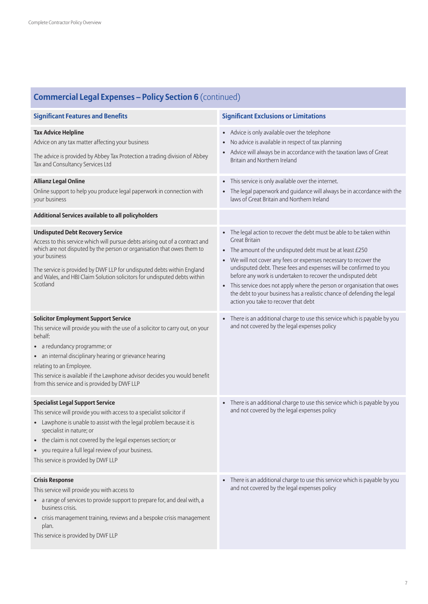| <b>Commercial Legal Expenses – Policy Section 6</b> (continued)                                                                                                                                                                                                                                                                                                                                 |                                                                                                                                                                                                                                                                                                                                                                                                                                                                                                                                                                               |  |
|-------------------------------------------------------------------------------------------------------------------------------------------------------------------------------------------------------------------------------------------------------------------------------------------------------------------------------------------------------------------------------------------------|-------------------------------------------------------------------------------------------------------------------------------------------------------------------------------------------------------------------------------------------------------------------------------------------------------------------------------------------------------------------------------------------------------------------------------------------------------------------------------------------------------------------------------------------------------------------------------|--|
| <b>Significant Features and Benefits</b>                                                                                                                                                                                                                                                                                                                                                        | <b>Significant Exclusions or Limitations</b>                                                                                                                                                                                                                                                                                                                                                                                                                                                                                                                                  |  |
| <b>Tax Advice Helpline</b><br>Advice on any tax matter affecting your business<br>The advice is provided by Abbey Tax Protection a trading division of Abbey<br>Tax and Consultancy Services Ltd                                                                                                                                                                                                | Advice is only available over the telephone<br>$\bullet$<br>No advice is available in respect of tax planning<br>$\bullet$<br>Advice will always be in accordance with the taxation laws of Great<br>Britain and Northern Ireland                                                                                                                                                                                                                                                                                                                                             |  |
| <b>Allianz Legal Online</b><br>Online support to help you produce legal paperwork in connection with<br>your business                                                                                                                                                                                                                                                                           | This service is only available over the internet.<br>$\bullet$<br>The legal paperwork and guidance will always be in accordance with the<br>$\bullet$<br>laws of Great Britain and Northern Ireland                                                                                                                                                                                                                                                                                                                                                                           |  |
| Additional Services available to all policyholders                                                                                                                                                                                                                                                                                                                                              |                                                                                                                                                                                                                                                                                                                                                                                                                                                                                                                                                                               |  |
| <b>Undisputed Debt Recovery Service</b><br>Access to this service which will pursue debts arising out of a contract and<br>which are not disputed by the person or organisation that owes them to<br>your business<br>The service is provided by DWF LLP for undisputed debts within England<br>and Wales, and HBJ Claim Solution solicitors for undisputed debts within<br>Scotland            | The legal action to recover the debt must be able to be taken within<br>$\bullet$<br><b>Great Britain</b><br>• The amount of the undisputed debt must be at least £250<br>• We will not cover any fees or expenses necessary to recover the<br>undisputed debt. These fees and expenses will be confirmed to you<br>before any work is undertaken to recover the undisputed debt<br>This service does not apply where the person or organisation that owes<br>the debt to your business has a realistic chance of defending the legal<br>action you take to recover that debt |  |
| <b>Solicitor Employment Support Service</b><br>This service will provide you with the use of a solicitor to carry out, on your<br>behalf:<br>• a redundancy programme; or<br>• an internal disciplinary hearing or grievance hearing<br>relating to an Employee.<br>This service is available if the Lawphone advisor decides you would benefit<br>from this service and is provided by DWF LLP | There is an additional charge to use this service which is payable by you<br>$\bullet$<br>and not covered by the legal expenses policy                                                                                                                                                                                                                                                                                                                                                                                                                                        |  |
| <b>Specialist Legal Support Service</b><br>This service will provide you with access to a specialist solicitor if<br>• Lawphone is unable to assist with the legal problem because it is<br>specialist in nature; or<br>• the claim is not covered by the legal expenses section; or<br>• you require a full legal review of your business.<br>This service is provided by DWF LLP              | There is an additional charge to use this service which is payable by you<br>$\bullet$<br>and not covered by the legal expenses policy                                                                                                                                                                                                                                                                                                                                                                                                                                        |  |
| <b>Crisis Response</b><br>This service will provide you with access to<br>• a range of services to provide support to prepare for, and deal with, a<br>business crisis.<br>• crisis management training, reviews and a bespoke crisis management<br>plan.<br>This service is provided by DWF LLP                                                                                                | • There is an additional charge to use this service which is payable by you<br>and not covered by the legal expenses policy                                                                                                                                                                                                                                                                                                                                                                                                                                                   |  |

# **Commercial Legal Expenses – Policy Section 6** (continued)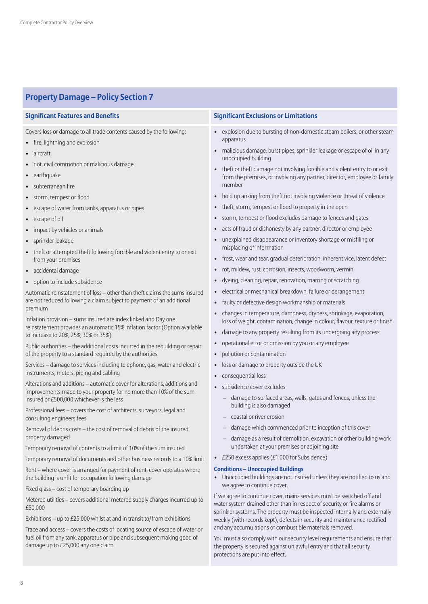# **Property Damage – Policy Section 7**

Covers loss or damage to all trade contents caused by the following:

- fire, lightning and explosion
- aircraft
- riot, civil commotion or malicious damage
- earthquake
- subterranean fire
- storm, tempest or flood
- escape of water from tanks, apparatus or pipes
- escape of oil
- impact by vehicles or animals
- sprinkler leakage
- theft or attempted theft following forcible and violent entry to or exit from your premises
- accidental damage
- option to include subsidence

Automatic reinstatement of loss – other than theft claims the sums insured are not reduced following a claim subject to payment of an additional premium

Inflation provision – sums insured are index linked and Day one reinstatement provides an automatic 15% inflation factor (Option available to increase to 20%, 25%, 30% or 35%)

Public authorities – the additional costs incurred in the rebuilding or repair of the property to a standard required by the authorities

Services – damage to services including telephone, gas, water and electric instruments, meters, piping and cabling

Alterations and additions – automatic cover for alterations, additions and improvements made to your property for no more than 10% of the sum insured or £500,000 whichever is the less

Professional fees – covers the cost of architects, surveyors, legal and consulting engineers fees

Removal of debris costs – the cost of removal of debris of the insured property damaged

Temporary removal of contents to a limit of 10% of the sum insured

Temporary removal of documents and other business records to a 10% limit

Rent – where cover is arranged for payment of rent, cover operates where the building is unfit for occupation following damage

Fixed glass – cost of temporary boarding up

Metered utilities – covers additional metered supply charges incurred up to £50,000

Exhibitions – up to £25,000 whilst at and in transit to/from exhibitions

Trace and access – covers the costs of locating source of escape of water or fuel oil from any tank, apparatus or pipe and subsequent making good of damage up to £25,000 any one claim

### **Significant Features and Benefits Significant Exclusions or Limitations**

- explosion due to bursting of non-domestic steam boilers, or other steam apparatus
- malicious damage, burst pipes, sprinkler leakage or escape of oil in any unoccupied building
- theft or theft damage not involving forcible and violent entry to or exit from the premises, or involving any partner, director, employee or family member
- hold up arising from theft not involving violence or threat of violence
- theft, storm, tempest or flood to property in the open
- storm, tempest or flood excludes damage to fences and gates
- acts of fraud or dishonesty by any partner, director or employee
- unexplained disappearance or inventory shortage or misfiling or misplacing of information
- frost, wear and tear, gradual deterioration, inherent vice, latent defect
- rot, mildew, rust, corrosion, insects, woodworm, vermin
- dyeing, cleaning, repair, renovation, marring or scratching
- electrical or mechanical breakdown, failure or derangement
- faulty or defective design workmanship or materials
- changes in temperature, dampness, dryness, shrinkage, evaporation, loss of weight, contamination, change in colour, flavour, texture or finish
- damage to any property resulting from its undergoing any process
- operational error or omission by you or any employee
- pollution or contamination
- loss or damage to property outside the UK
- consequential loss
- subsidence cover excludes
	- damage to surfaced areas, walls, gates and fences, unless the building is also damaged
	- coastal or river erosion
	- damage which commenced prior to inception of this cover
	- damage as a result of demolition, excavation or other building work undertaken at your premises or adjoining site
- £250 excess applies  $(E1,000)$  for Subsidence)

#### **Conditions – Unoccupied Buildings**

• Unoccupied buildings are not insured unless they are notified to us and we agree to continue cover.

If we agree to continue cover, mains services must be switched off and water system drained other than in respect of security or fire alarms or sprinkler systems. The property must be inspected internally and externally weekly (with records kept), defects in security and maintenance rectified and any accumulations of combustible materials removed.

You must also comply with our security level requirements and ensure that the property is secured against unlawful entry and that all security protections are put into effect.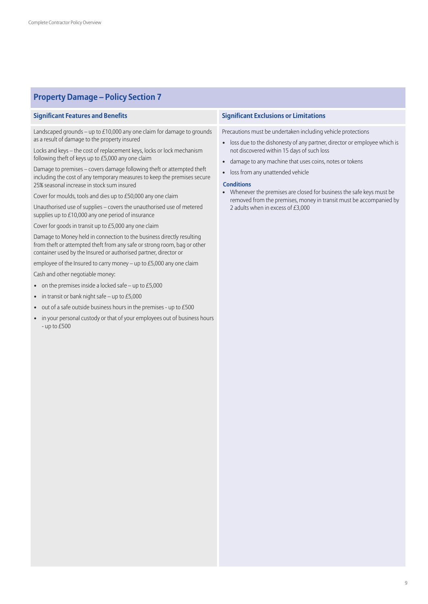# **Property Damage – Policy Section 7**

Landscaped grounds – up to £10,000 any one claim for damage to grounds as a result of damage to the property insured

Locks and keys – the cost of replacement keys, locks or lock mechanism following theft of keys up to £5,000 any one claim

Damage to premises – covers damage following theft or attempted theft including the cost of any temporary measures to keep the premises secure 25% seasonal increase in stock sum insured

Cover for moulds, tools and dies up to £50,000 any one claim

Unauthorised use of supplies – covers the unauthorised use of metered supplies up to £10,000 any one period of insurance

Cover for goods in transit up to £5,000 any one claim

Damage to Money held in connection to the business directly resulting from theft or attempted theft from any safe or strong room, bag or other container used by the Insured or authorised partner, director or

employee of the Insured to carry money – up to £5,000 any one claim

Cash and other negotiable money:

- on the premises inside a locked safe up to  $£5,000$
- in transit or bank night safe up to £5,000
- out of a safe outside business hours in the premises up to £500
- in your personal custody or that of your employees out of business hours - up to £500

### **Significant Features and Benefits Significant Exclusions or Limitations**

Precautions must be undertaken including vehicle protections

- loss due to the dishonesty of any partner, director or employee which is not discovered within 15 days of such loss
- damage to any machine that uses coins, notes or tokens
- loss from any unattended vehicle

#### **Conditions**

• Whenever the premises are closed for business the safe keys must be removed from the premises, money in transit must be accompanied by 2 adults when in excess of £3,000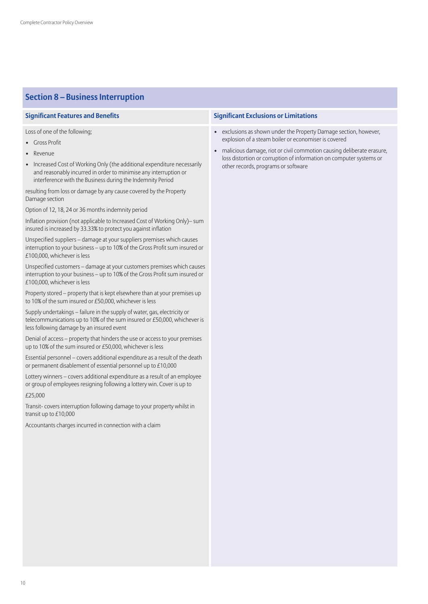# **Section 8 – Business Interruption**

Loss of one of the following;

- Gross Profit
- **Revenue**
- Increased Cost of Working Only (the additional expenditure necessarily and reasonably incurred in order to minimise any interruption or interference with the Business during the Indemnity Period

resulting from loss or damage by any cause covered by the Property Damage section

Option of 12, 18, 24 or 36 months indemnity period

Inflation provision (not applicable to Increased Cost of Working Only)– sum insured is increased by 33.33% to protect you against inflation

Unspecified suppliers – damage at your suppliers premises which causes interruption to your business – up to 10% of the Gross Profit sum insured or £100,000, whichever is less

Unspecified customers – damage at your customers premises which causes interruption to your business – up to 10% of the Gross Profit sum insured or £100,000, whichever is less

Property stored – property that is kept elsewhere than at your premises up to 10% of the sum insured or £50,000, whichever is less

Supply undertakings – failure in the supply of water, gas, electricity or telecommunications up to 10% of the sum insured or £50,000, whichever is less following damage by an insured event

Denial of access – property that hinders the use or access to your premises up to 10% of the sum insured or £50,000, whichever is less

Essential personnel – covers additional expenditure as a result of the death or permanent disablement of essential personnel up to £10,000

Lottery winners – covers additional expenditure as a result of an employee or group of employees resigning following a lottery win. Cover is up to

#### £25,000

Transit- covers interruption following damage to your property whilst in transit up to £10,000

Accountants charges incurred in connection with a claim

- exclusions as shown under the Property Damage section, however, explosion of a steam boiler or economiser is covered
- malicious damage, riot or civil commotion causing deliberate erasure, loss distortion or corruption of information on computer systems or other records, programs or software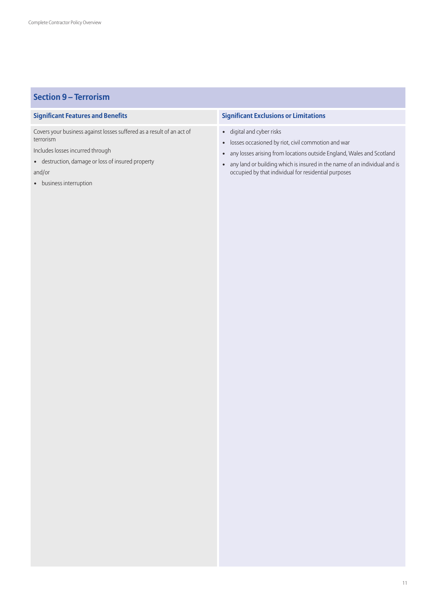# **Section 9 – Terrorism**

Covers your business against losses suffered as a result of an act of terrorism

Includes losses incurred through

- destruction, damage or loss of insured property and/or
- 
- business interruption

- digital and cyber risks
- losses occasioned by riot, civil commotion and war
- any losses arising from locations outside England, Wales and Scotland
- any land or building which is insured in the name of an individual and is occupied by that individual for residential purposes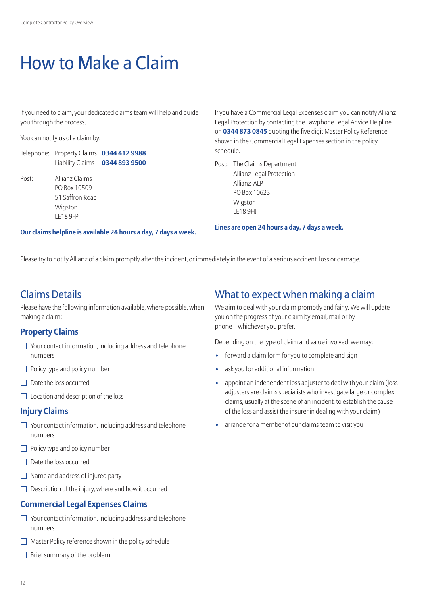# How to Make a Claim

If you need to claim, your dedicated claims team will help and quide you through the process.

You can notify us of a claim by:

| Telephone: Property Claims 0344 412 9988 |                                |
|------------------------------------------|--------------------------------|
|                                          | Liability Claims 0344 893 9500 |

Post: Allianz Claims PO Box 10509 51 Saffron Road Wigston LE18 9FP

If you have a Commercial Legal Expenses claim you can notify Allianz Legal Protection by contacting the Lawphone Legal Advice Helpline on **0344 873 0845** quoting the five digit Master Policy Reference shown in the Commercial Legal Expenses section in the policy schedule.

Post: The Claims Department Allianz Legal Protection Allianz-ALP PO Box 10623 **Wigston** LE18 9HJ

**Lines are open 24 hours a day, 7 days a week.**

Please try to notify Allianz of a claim promptly after the incident, or immediately in the event of a serious accident, loss or damage.

# Claims Details

Please have the following information available, where possible, when making a claim:

**Our claims helpline is available 24 hours a day, 7 days a week.**

## **Property Claims**

- $\Box$  Your contact information, including address and telephone numbers
- $\Box$  Policy type and policy number
- $\Box$  Date the loss occurred
- $\Box$  Location and description of the loss

## **Injury Claims**

- $\Box$  Your contact information, including address and telephone numbers
- $\Box$  Policy type and policy number
- $\Box$  Date the loss occurred
- $\Box$  Name and address of injured party
- $\Box$  Description of the injury, where and how it occurred

# **Commercial Legal Expenses Claims**

- $\Box$  Your contact information, including address and telephone numbers
- Master Policy reference shown in the policy schedule
- $\Box$  Brief summary of the problem

# What to expect when making a claim

We aim to deal with your claim promptly and fairly. We will update you on the progress of your claim by email, mail or by phone – whichever you prefer.

Depending on the type of claim and value involved, we may:

- **•** forward a claim form for you to complete and sign
- **•** ask you for additional information
- **•** appoint an independent loss adjuster to deal with your claim (loss adjusters are claims specialists who investigate large or complex claims, usually at the scene of an incident, to establish the cause of the loss and assist the insurer in dealing with your claim)
- arrange for a member of our claims team to visit you